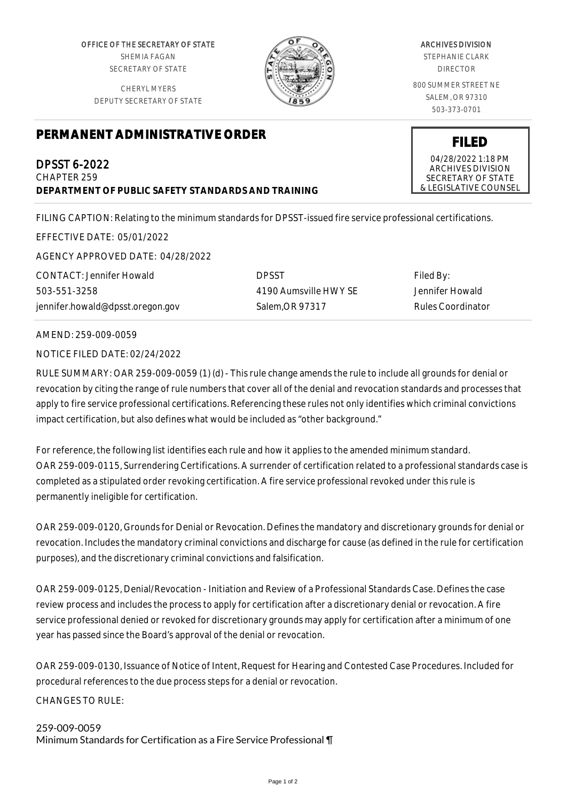OFFICE OF THE SECRETARY OF STATE SHEMIA FAGAN SECRETARY OF STATE

CHERYL MYERS DEPUTY SECRETARY OF STATE



## ARCHIVES DIVISION

STEPHANIE CLARK DIRECTOR

800 SUMMER STREET NE SALEM, OR 97310 503-373-0701

## **PERMANENT ADMINISTRATIVE ORDER**

DPSST 6-2022 CHAPTER 259 **DEPARTMENT OF PUBLIC SAFETY STANDARDS AND TRAINING**

FILING CAPTION: Relating to the minimum standards for DPSST-issued fire service professional certifications.

EFFECTIVE DATE: 05/01/2022 AGENCY APPROVED DATE: 04/28/2022

CONTACT: Jennifer Howald 503-551-3258 jennifer.howald@dpsst.oregon.gov

DPSST 4190 Aumsville HWY SE Salem,OR 97317

Filed By: Jennifer Howald Rules Coordinator

AMEND: 259-009-0059

NOTICE FILED DATE: 02/24/2022

RULE SUMMARY: OAR 259-009-0059 (1) (d) - This rule change amends the rule to include all grounds for denial or revocation by citing the range of rule numbers that cover all of the denial and revocation standards and processes that apply to fire service professional certifications. Referencing these rules not only identifies which criminal convictions impact certification, but also defines what would be included as "other background."

For reference, the following list identifies each rule and how it applies to the amended minimum standard. OAR 259-009-0115, Surrendering Certifications. A surrender of certification related to a professional standards case is completed as a stipulated order revoking certification. A fire service professional revoked under this rule is permanently ineligible for certification.

OAR 259-009-0120, Grounds for Denial or Revocation. Defines the mandatory and discretionary grounds for denial or revocation. Includes the mandatory criminal convictions and discharge for cause (as defined in the rule for certification purposes), and the discretionary criminal convictions and falsification.

OAR 259-009-0125, Denial/Revocation - Initiation and Review of a Professional Standards Case. Defines the case review process and includes the process to apply for certification after a discretionary denial or revocation. A fire service professional denied or revoked for discretionary grounds may apply for certification after a minimum of one year has passed since the Board's approval of the denial or revocation.

OAR 259-009-0130, Issuance of Notice of Intent, Request for Hearing and Contested Case Procedures. Included for procedural references to the due process steps for a denial or revocation. CHANGES TO RULE:

## 259-009-0059 Minimum Standards for Certification as a Fire Service Professional ¶

04/28/2022 1:18 PM ARCHIVES DIVISION SECRETARY OF STATE & LEGISLATIVE COUNSEL

**FILED**